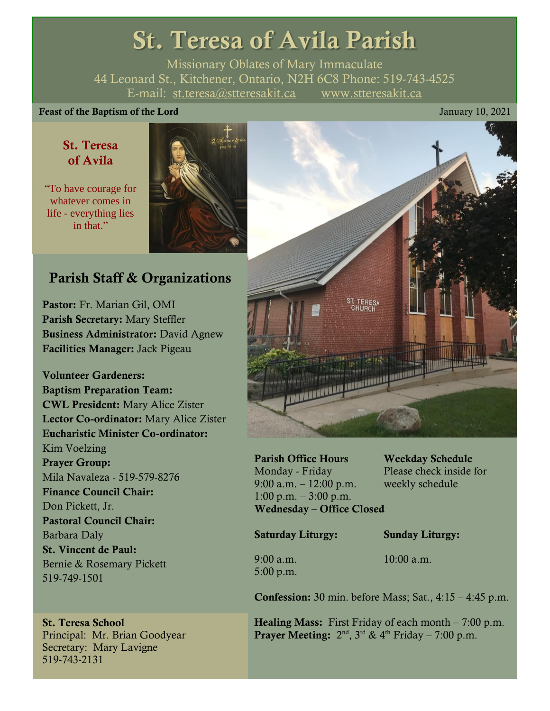# St. Teresa of Avila Parish

Missionary Oblates of Mary Immaculate 44 Leonard St., Kitchener, Ontario, N2H 6C8 Phone: 519-743-4525 E-mail: [st.teresa@stteresakit.ca](mailto:st.teresa@stteresakit.ca) [www.stteresakit.ca](http://www.stteresakit.ca/)

## Feast of the Baptism of the Lord January 10, 2021

# St. Teresa of Avila

"To have courage for whatever comes in life - everything lies in that."



# Parish Staff & Organizations

Pastor: Fr. Marian Gil, OMI Parish Secretary: Mary Steffler Business Administrator: David Agnew Facilities Manager: Jack Pigeau

Volunteer Gardeners: Baptism Preparation Team: CWL President: Mary Alice Zister Lector Co-ordinator: Mary Alice Zister Eucharistic Minister Co-ordinator: Kim Voelzing Prayer Group: Mila Navaleza - 519-579-8276 Finance Council Chair: Don Pickett, Jr. Pastoral Council Chair: Barbara Daly St. Vincent de Paul: Bernie & Rosemary Pickett 519-749-1501

# St. Teresa School Principal: Mr. Brian Goodyear Secretary: Mary Lavigne 519-743-2131



Parish Office Hours Weekday Schedule Monday - Friday Please check inside for 9:00 a.m. – 12:00 p.m. weekly schedule 1:00 p.m.  $-3:00$  p.m. Wednesday – Office Closed

Saturday Liturgy: Sunday Liturgy:

5:00 p.m.

9:00 a.m. 10:00 a.m.

**Confession:** 30 min. before Mass; Sat.,  $4:15 - 4:45$  p.m.

**Healing Mass:** First Friday of each month  $-7:00$  p.m. **Prayer Meeting:**  $2<sup>nd</sup>$ ,  $3<sup>rd</sup>$  &  $4<sup>th</sup>$  Friday – 7:00 p.m.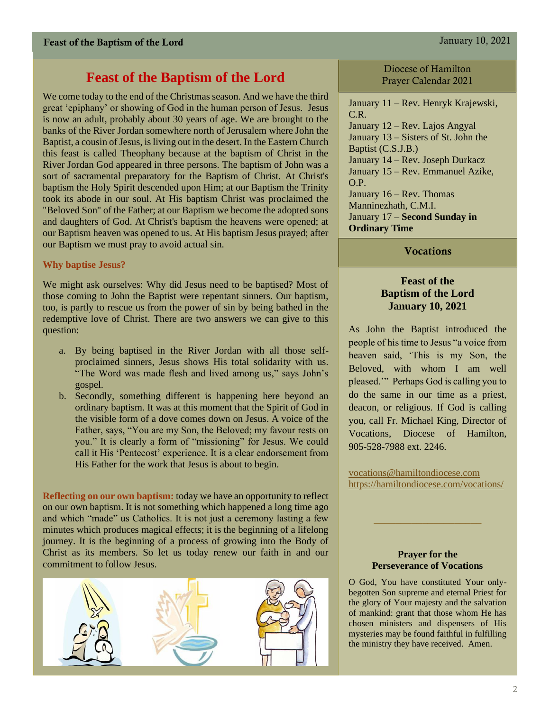# **Feast of the Baptism of the Lord**

We come today to the end of the Christmas season. And we have the third great 'epiphany' or showing of God in the human person of Jesus. Jesus is now an adult, probably about 30 years of age. We are brought to the banks of the River Jordan somewhere north of Jerusalem where John the Baptist, a cousin of Jesus, is living out in the desert. In the Eastern Church this feast is called Theophany because at the baptism of Christ in the River Jordan God appeared in three persons. The baptism of John was a sort of sacramental preparatory for the Baptism of Christ. At Christ's baptism the Holy Spirit descended upon Him; at our Baptism the Trinity took its abode in our soul. At His baptism Christ was proclaimed the "Beloved Son" of the Father; at our Baptism we become the adopted sons and daughters of God. At Christ's baptism the heavens were opened; at our Baptism heaven was opened to us. At His baptism Jesus prayed; after our Baptism we must pray to avoid actual sin.

## **Why baptise Jesus?**

We might ask ourselves: Why did Jesus need to be baptised? Most of those coming to John the Baptist were repentant sinners. Our baptism, too, is partly to rescue us from the power of sin by being bathed in the redemptive love of Christ. There are two answers we can give to this question:

- a. By being baptised in the River Jordan with all those selfproclaimed sinners, Jesus shows His total solidarity with us. "The Word was made flesh and lived among us," says John's gospel.
- b. Secondly, something different is happening here beyond an ordinary baptism. It was at this moment that the Spirit of God in the visible form of a dove comes down on Jesus. A voice of the Father, says, "You are my Son, the Beloved; my favour rests on you." It is clearly a form of "missioning" for Jesus. We could call it His 'Pentecost' experience. It is a clear endorsement from His Father for the work that Jesus is about to begin.

**Reflecting on our own baptism:** today we have an opportunity to reflect on our own baptism. It is not something which happened a long time ago and which "made" us Catholics. It is not just a ceremony lasting a few minutes which produces magical effects; it is the beginning of a lifelong journey. It is the beginning of a process of growing into the Body of Christ as its members. So let us today renew our faith in and our commitment to follow Jesus.



Diocese of Hamilton Prayer Calendar 2021

January 11 – Rev. Henryk Krajewski, C.R. January 12 – Rev. Lajos Angyal January 13 – Sisters of St. John the Baptist (C.S.J.B.) January 14 – Rev. Joseph Durkacz January 15 – Rev. Emmanuel Azike, O.P. January 16 – Rev. Thomas Manninezhath, C.M.I. January 17 – **Second Sunday in Ordinary Time**

**Vocations** 

## **Feast of the Baptism of the Lord January 10, 2021**

As John the Baptist introduced the people of his time to Jesus "a voice from heaven said, 'This is my Son, the Beloved, with whom I am well pleased.'" Perhaps God is calling you to do the same in our time as a priest, deacon, or religious. If God is calling you, call Fr. Michael King, Director of Vocations, Diocese of Hamilton, 905-528-7988 ext. 2246.

[vocations@hamiltondiocese.com](mailto:vocations@hamiltondiocese.com)  <https://hamiltondiocese.com/vocations/>

#### **Prayer for the Perseverance of Vocations**

O God, You have constituted Your onlybegotten Son supreme and eternal Priest for the glory of Your majesty and the salvation of mankind: grant that those whom He has chosen ministers and dispensers of His mysteries may be found faithful in fulfilling the ministry they have received. Amen.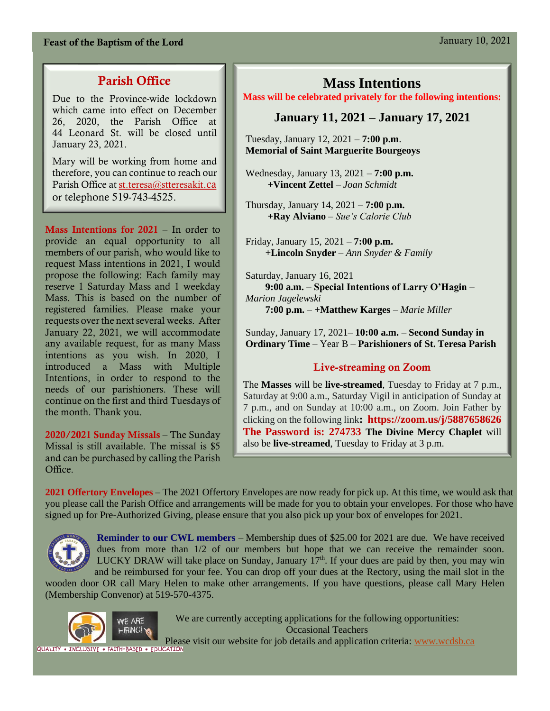# Feast of the Baptism of the Lord January 10, 2021

# Parish Office

Due to the Province-wide lockdown which came into effect on December 26, 2020, the Parish Office at 44 Leonard St. will be closed until January 23, 2021.

Mary will be working from home and therefore, you can continue to reach our Parish Office at [st.teresa@stteresakit](mailto:st.teresa@stteresakit.ca)[.ca](mailto:st.teresa@stteresakit.ca) or telephone 519-743-4525.

Mass Intentions for 2021 – In order to provide an equal opportunity to all members of our parish, who would like to request Mass intentions in 2021, I would propose the following: Each family may reserve 1 Saturday Mass and 1 weekday Mass. This is based on the number of registered families. Please make your requests over the next several weeks. After January 22, 2021, we will accommodate any available request, for as many Mass intentions as you wish. In 2020, I introduced a Mass with Multiple Intentions, in order to respond to the needs of our parishioners. These will continue on the first and third Tuesdays of the month. Thank you.

2020/2021 Sunday Missals – The Sunday Missal is still available. The missal is \$5 and can be purchased by calling the Parish Office.

# **Mass Intentions**

#### **Mass will be celebrated privately for the following intentions:**

# **January 11, 2021 – January 17, 2021**

Tuesday, January 12, 2021 – **7:00 p.m**. **Memorial of Saint Marguerite Bourgeoys** 

Wednesday, January 13, 2021 – **7:00 p.m. +Vincent Zettel** – *Joan Schmidt*

Thursday, January 14, 2021 – **7:00 p.m. +Ray Alviano** – *Sue's Calorie Club*

Friday, January 15, 2021 – **7:00 p.m. +Lincoln Snyder** – *Ann Snyder & Family*

Saturday, January 16, 2021  **9:00 a.m.** – **Special Intentions of Larry O'Hagin** – *Marion Jagelewski* **7:00 p.m.** – **+Matthew Karges** – *Marie Miller*

Sunday, January 17, 2021– **10:00 a.m.** – **Second Sunday in Ordinary Time** – Year B – **Parishioners of St. Teresa Parish**

# Live-streaming on Zoom

The **Masses** will be **live-streamed**, Tuesday to Friday at 7 p.m., Saturday at 9:00 a.m., Saturday Vigil in anticipation of Sunday at 7 p.m., and on Sunday at 10:00 a.m., on Zoom. Join Father by clicking on the following link**:<https://zoom.us/j/5887658626> The Password is: 274733 The Divine Mercy Chaplet** will also be **live-streamed**, Tuesday to Friday at 3 p.m.

**2021 Offertory Envelopes** – The 2021 Offertory Envelopes are now ready for pick up. At this time, we would ask that you please call the Parish Office and arrangements will be made for you to obtain your envelopes. For those who have signed up for Pre-Authorized Giving, please ensure that you also pick up your box of envelopes for 2021.



**Reminder to our CWL members** – Membership dues of \$25.00 for 2021 are due. We have received dues from more than  $1/2$  of our members but hope that we can receive the remainder soon. LUCKY DRAW will take place on Sunday, January  $17<sup>th</sup>$ . If your dues are paid by then, you may win and be reimbursed for your fee. You can drop off your dues at the Rectory, using the mail slot in the

wooden door OR call Mary Helen to make other arrangements. If you have questions, please call Mary Helen (Membership Convenor) at 519-570-4375.



We are currently accepting applications for the following opportunities: Occasional Teachers

Please visit our website for job details and application criteria: [www.wcdsb.ca](http://www.wcdsb.ca/)